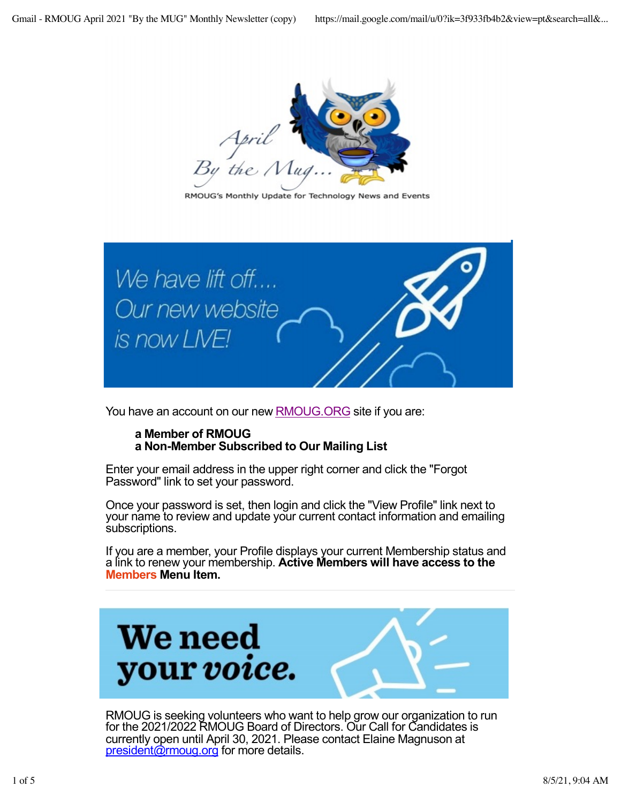

RMOUG's Monthly Update for Technology News and Events



You have an account on our new **[RMOUG.OR](https://rmoug.org/EmailTracker/LinkTracker.ashx?linkAndRecipientCode=RJv6%2fDknBP4yXmvmX%2b2MgoIS7C%2buYLnaatGF2p%2b9G5Y4i6e6dSdPgR%2be1VPVhfL0oTaw%2bpm%2bLl0kFAjPG7dhHtpA8vRTTq1vZsBRzFJG8ek%3d)G** site if you are:

### **a Member of RMOUG a Non-Member Subscribed to Our Mailing List**

Enter your email address in the upper right corner and click the "Forgot Password" link to set your password.

Once your password is set, then login and click the "View Profile" link next to your name to review and update your current contact information and emailing subscriptions.

If you are a member, your Profile displays your current Membership status and a link to renew your membership. **Active Members will have access to the Members Menu Item.**



RMOUG is seeking volunteers who want to help grow our organization to run for the 2021/2022 RMOUG Board of Directors. Our Call for Candidates is currently open until April 30, 2021. Please contact Elaine Magnuson at [president@rmoug.o](mailto:president@rmoug.org)rg for more details.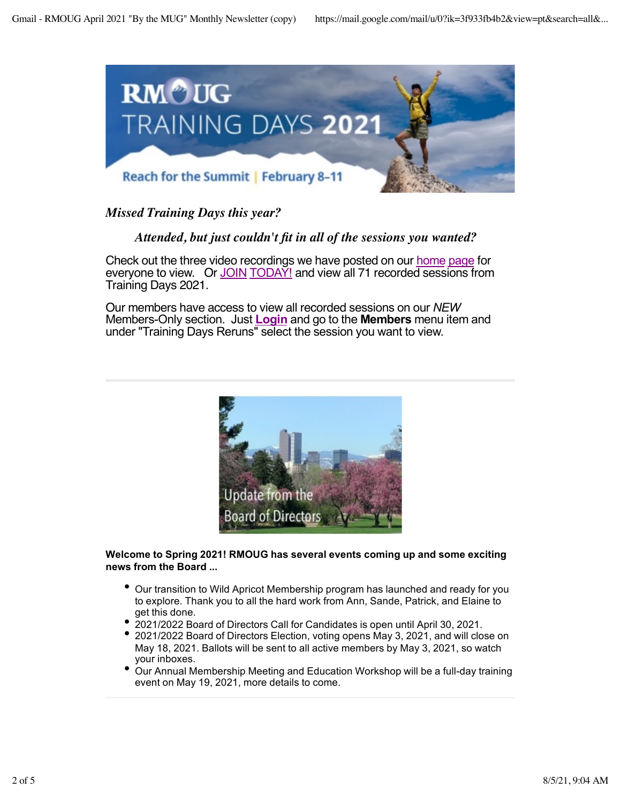

### *Missed Training Days this year?*

### *Attended, but just couldn't fit in all of the sessions you wanted?*

Check out the three video recordings we have posted on our [hom](https://rmoug.org/EmailTracker/LinkTracker.ashx?linkAndRecipientCode=SJKSwuEQ3LYvmAeqUmK9Fj9PZJkAh2wLlEOfDIyKsH9vNWbtrxHJS9PNLgobrOcNdkfO4b7e8nVhiXP8ag%2b7jSvAXDrgREohKe%2bX226Q9rc%3d)e [pag](https://rmoug.org/EmailTracker/LinkTracker.ashx?linkAndRecipientCode=SJKSwuEQ3LYvmAeqUmK9Fj9PZJkAh2wLlEOfDIyKsH9vNWbtrxHJS9PNLgobrOcNdkfO4b7e8nVhiXP8ag%2b7jSvAXDrgREohKe%2bX226Q9rc%3d)e for everyone to view. Or [JO](https://rmoug.org/EmailTracker/LinkTracker.ashx?linkAndRecipientCode=VJzuFNg5buC9yHR0cvuoSJLu3kFcvYlINC2S68dsqt3eXNPYu1MjiwvpsXW7f7LY5yB9N5Z2t%2bl6ThTgW1wJ7vcJhg%2b7i50me290%2b59qt%2bs%3d)IN [TODA](https://rmoug.org/EmailTracker/LinkTracker.ashx?linkAndRecipientCode=VJzuFNg5buC9yHR0cvuoSJLu3kFcvYlINC2S68dsqt3eXNPYu1MjiwvpsXW7f7LY5yB9N5Z2t%2bl6ThTgW1wJ7vcJhg%2b7i50me290%2b59qt%2bs%3d)Y! and view all 71 recorded sessions from Training Days 2021.

Our members have access to view all recorded sessions on our *NEW* Members-Only section. Just **[Log](https://rmoug.org/EmailTracker/LinkTracker.ashx?linkAndRecipientCode=SJKSwuEQ3LYvmAeqUmK9Fj9PZJkAh2wLlEOfDIyKsH9vNWbtrxHJS9PNLgobrOcNdkfO4b7e8nVhiXP8ag%2b7jSvAXDrgREohKe%2bX226Q9rc%3d)in** and go to the **Members** menu item and under "Training Days Reruns" select the session you want to view.



#### **Welcome to Spring 2021! RMOUG has several events coming up and some exciting news from the Board ...**

- Our transition to Wild Apricot Membership program has launched and ready for you to explore. Thank you to all the hard work from Ann, Sande, Patrick, and Elaine to get this done.
- 2021/2022 Board of Directors Call for Candidates is open until April 30, 2021.
- 2021/2022 Board of Directors Election, voting opens May 3, 2021, and will close on May 18, 2021. Ballots will be sent to all active members by May 3, 2021, so watch your inboxes.
- Our Annual Membership Meeting and Education Workshop will be a full-day training event on May 19, 2021, more details to come.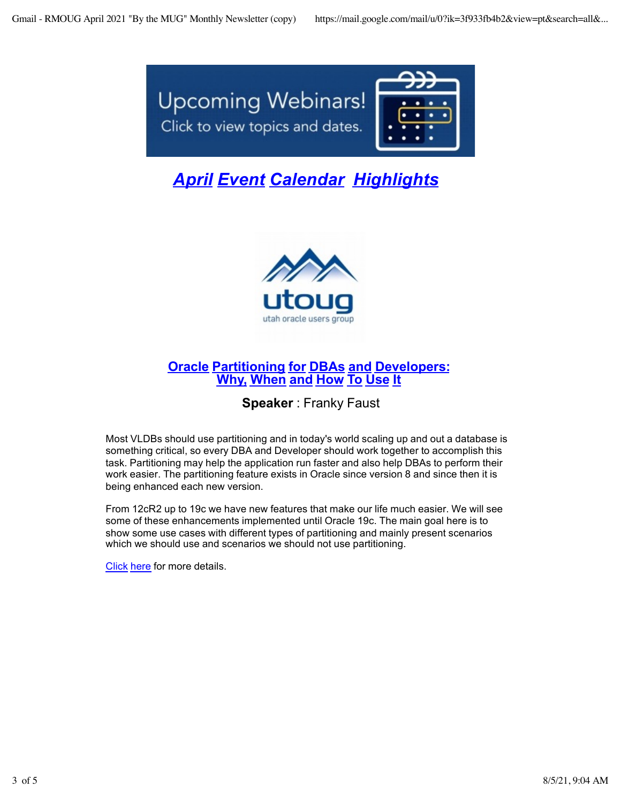

# *[Apr](https://rmoug.org/EmailTracker/LinkTracker.ashx?linkAndRecipientCode=vP32Cv1dk2lRiCcEN4YuH2sdIcURwRMEtwsJex9BI6gUP3mqjx2uvu%2bBSTboqyHwhulterkHqHRTb3%2b6P0dY1blxLOndO91Ye%2fh2GbFNRuI%3d)il [Even](https://rmoug.org/EmailTracker/LinkTracker.ashx?linkAndRecipientCode=vP32Cv1dk2lRiCcEN4YuH2sdIcURwRMEtwsJex9BI6gUP3mqjx2uvu%2bBSTboqyHwhulterkHqHRTb3%2b6P0dY1blxLOndO91Ye%2fh2GbFNRuI%3d)t [Calenda](https://rmoug.org/EmailTracker/LinkTracker.ashx?linkAndRecipientCode=vP32Cv1dk2lRiCcEN4YuH2sdIcURwRMEtwsJex9BI6gUP3mqjx2uvu%2bBSTboqyHwhulterkHqHRTb3%2b6P0dY1blxLOndO91Ye%2fh2GbFNRuI%3d)r [Highlight](https://rmoug.org/EmailTracker/LinkTracker.ashx?linkAndRecipientCode=vP32Cv1dk2lRiCcEN4YuH2sdIcURwRMEtwsJex9BI6gUP3mqjx2uvu%2bBSTboqyHwhulterkHqHRTb3%2b6P0dY1blxLOndO91Ye%2fh2GbFNRuI%3d)s*



## **[Orac](https://rmoug.org/EmailTracker/LinkTracker.ashx?linkAndRecipientCode=PDe5%2bq%2bIsScw0f%2bi%2b2nPIgTzMUlCue1VWXR6%2f4wr1IUbTSAna%2bk3ERER4eA8bfNOVeRAFe1SmVVsjx%2bhjpj6FgDc9CFCdCLyv5k%2boie8pD0%3d)le [Partitioning](https://rmoug.org/EmailTracker/LinkTracker.ashx?linkAndRecipientCode=PDe5%2bq%2bIsScw0f%2bi%2b2nPIgTzMUlCue1VWXR6%2f4wr1IUbTSAna%2bk3ERER4eA8bfNOVeRAFe1SmVVsjx%2bhjpj6FgDc9CFCdCLyv5k%2boie8pD0%3d) for [DBA](https://rmoug.org/EmailTracker/LinkTracker.ashx?linkAndRecipientCode=PDe5%2bq%2bIsScw0f%2bi%2b2nPIgTzMUlCue1VWXR6%2f4wr1IUbTSAna%2bk3ERER4eA8bfNOVeRAFe1SmVVsjx%2bhjpj6FgDc9CFCdCLyv5k%2boie8pD0%3d)s [an](https://rmoug.org/EmailTracker/LinkTracker.ashx?linkAndRecipientCode=PDe5%2bq%2bIsScw0f%2bi%2b2nPIgTzMUlCue1VWXR6%2f4wr1IUbTSAna%2bk3ERER4eA8bfNOVeRAFe1SmVVsjx%2bhjpj6FgDc9CFCdCLyv5k%2boie8pD0%3d)d [Developer](https://rmoug.org/EmailTracker/LinkTracker.ashx?linkAndRecipientCode=PDe5%2bq%2bIsScw0f%2bi%2b2nPIgTzMUlCue1VWXR6%2f4wr1IUbTSAna%2bk3ERER4eA8bfNOVeRAFe1SmVVsjx%2bhjpj6FgDc9CFCdCLyv5k%2boie8pD0%3d)s: [Wh](https://rmoug.org/EmailTracker/LinkTracker.ashx?linkAndRecipientCode=PDe5%2bq%2bIsScw0f%2bi%2b2nPIgTzMUlCue1VWXR6%2f4wr1IUbTSAna%2bk3ERER4eA8bfNOVeRAFe1SmVVsjx%2bhjpj6FgDc9CFCdCLyv5k%2boie8pD0%3d)y, [Whe](https://rmoug.org/EmailTracker/LinkTracker.ashx?linkAndRecipientCode=PDe5%2bq%2bIsScw0f%2bi%2b2nPIgTzMUlCue1VWXR6%2f4wr1IUbTSAna%2bk3ERER4eA8bfNOVeRAFe1SmVVsjx%2bhjpj6FgDc9CFCdCLyv5k%2boie8pD0%3d)n [an](https://rmoug.org/EmailTracker/LinkTracker.ashx?linkAndRecipientCode=PDe5%2bq%2bIsScw0f%2bi%2b2nPIgTzMUlCue1VWXR6%2f4wr1IUbTSAna%2bk3ERER4eA8bfNOVeRAFe1SmVVsjx%2bhjpj6FgDc9CFCdCLyv5k%2boie8pD0%3d)d [How](https://rmoug.org/EmailTracker/LinkTracker.ashx?linkAndRecipientCode=PDe5%2bq%2bIsScw0f%2bi%2b2nPIgTzMUlCue1VWXR6%2f4wr1IUbTSAna%2bk3ERER4eA8bfNOVeRAFe1SmVVsjx%2bhjpj6FgDc9CFCdCLyv5k%2boie8pD0%3d) To [Use](https://rmoug.org/EmailTracker/LinkTracker.ashx?linkAndRecipientCode=PDe5%2bq%2bIsScw0f%2bi%2b2nPIgTzMUlCue1VWXR6%2f4wr1IUbTSAna%2bk3ERER4eA8bfNOVeRAFe1SmVVsjx%2bhjpj6FgDc9CFCdCLyv5k%2boie8pD0%3d) It**

## **Speaker** : Franky Faust

Most VLDBs should use partitioning and in today's world scaling up and out a database is something critical, so every DBA and Developer should work together to accomplish this task. Partitioning may help the application run faster and also help DBAs to perform their work easier. The partitioning feature exists in Oracle since version 8 and since then it is being enhanced each new version.

From 12cR2 up to 19c we have new features that make our life much easier. We will see some of these enhancements implemented until Oracle 19c. The main goal here is to show some use cases with different types of partitioning and mainly present scenarios which we should use and scenarios we should not use partitioning.

[Click](https://rmoug.org/EmailTracker/LinkTracker.ashx?linkAndRecipientCode=PDe5%2bq%2bIsScw0f%2bi%2b2nPIgTzMUlCue1VWXR6%2f4wr1IUbTSAna%2bk3ERER4eA8bfNOVeRAFe1SmVVsjx%2bhjpj6FgDc9CFCdCLyv5k%2boie8pD0%3d) here for more details.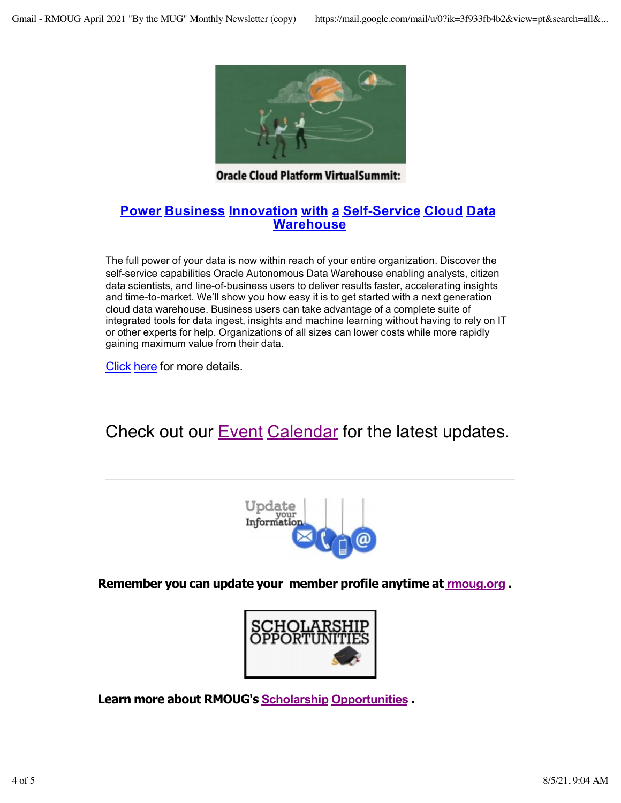

**Oracle Cloud Platform VirtualSummit:** 

## **[Powe](https://rmoug.org/EmailTracker/LinkTracker.ashx?linkAndRecipientCode=e%2f5VsE3l%2btZXIXOLN3XVjK9ZpOKDhTb7GxXJ0AhCLvdC0QifBLoSZA0EPg9rN%2fV6hQ4uqaiUvc0dTbtrQ3IdQEfSHMvOOQ0%2bWTA%2fx4nzd%2bw%3d)r [Busines](https://rmoug.org/EmailTracker/LinkTracker.ashx?linkAndRecipientCode=e%2f5VsE3l%2btZXIXOLN3XVjK9ZpOKDhTb7GxXJ0AhCLvdC0QifBLoSZA0EPg9rN%2fV6hQ4uqaiUvc0dTbtrQ3IdQEfSHMvOOQ0%2bWTA%2fx4nzd%2bw%3d)s [Innovatio](https://rmoug.org/EmailTracker/LinkTracker.ashx?linkAndRecipientCode=e%2f5VsE3l%2btZXIXOLN3XVjK9ZpOKDhTb7GxXJ0AhCLvdC0QifBLoSZA0EPg9rN%2fV6hQ4uqaiUvc0dTbtrQ3IdQEfSHMvOOQ0%2bWTA%2fx4nzd%2bw%3d)n [with](https://rmoug.org/EmailTracker/LinkTracker.ashx?linkAndRecipientCode=e%2f5VsE3l%2btZXIXOLN3XVjK9ZpOKDhTb7GxXJ0AhCLvdC0QifBLoSZA0EPg9rN%2fV6hQ4uqaiUvc0dTbtrQ3IdQEfSHMvOOQ0%2bWTA%2fx4nzd%2bw%3d) a [Self-Servic](https://rmoug.org/EmailTracker/LinkTracker.ashx?linkAndRecipientCode=e%2f5VsE3l%2btZXIXOLN3XVjK9ZpOKDhTb7GxXJ0AhCLvdC0QifBLoSZA0EPg9rN%2fV6hQ4uqaiUvc0dTbtrQ3IdQEfSHMvOOQ0%2bWTA%2fx4nzd%2bw%3d)e [Clou](https://rmoug.org/EmailTracker/LinkTracker.ashx?linkAndRecipientCode=e%2f5VsE3l%2btZXIXOLN3XVjK9ZpOKDhTb7GxXJ0AhCLvdC0QifBLoSZA0EPg9rN%2fV6hQ4uqaiUvc0dTbtrQ3IdQEfSHMvOOQ0%2bWTA%2fx4nzd%2bw%3d)d [Da](https://rmoug.org/EmailTracker/LinkTracker.ashx?linkAndRecipientCode=e%2f5VsE3l%2btZXIXOLN3XVjK9ZpOKDhTb7GxXJ0AhCLvdC0QifBLoSZA0EPg9rN%2fV6hQ4uqaiUvc0dTbtrQ3IdQEfSHMvOOQ0%2bWTA%2fx4nzd%2bw%3d)ta [Warehous](https://rmoug.org/EmailTracker/LinkTracker.ashx?linkAndRecipientCode=e%2f5VsE3l%2btZXIXOLN3XVjK9ZpOKDhTb7GxXJ0AhCLvdC0QifBLoSZA0EPg9rN%2fV6hQ4uqaiUvc0dTbtrQ3IdQEfSHMvOOQ0%2bWTA%2fx4nzd%2bw%3d)e**

The full power of your data is now within reach of your entire organization. Discover the self-service capabilities Oracle Autonomous Data Warehouse enabling analysts, citizen data scientists, and line-of-business users to deliver results faster, accelerating insights and time-to-market. We'll show you how easy it is to get started with a next generation cloud data warehouse. Business users can take advantage of a complete suite of integrated tools for data ingest, insights and machine learning without having to rely on IT or other experts for help. Organizations of all sizes can lower costs while more rapidly gaining maximum value from their data.

[Cli](https://rmoug.org/EmailTracker/LinkTracker.ashx?linkAndRecipientCode=e%2f5VsE3l%2btZXIXOLN3XVjK9ZpOKDhTb7GxXJ0AhCLvdC0QifBLoSZA0EPg9rN%2fV6hQ4uqaiUvc0dTbtrQ3IdQEfSHMvOOQ0%2bWTA%2fx4nzd%2bw%3d)ck [he](https://rmoug.org/EmailTracker/LinkTracker.ashx?linkAndRecipientCode=e%2f5VsE3l%2btZXIXOLN3XVjK9ZpOKDhTb7GxXJ0AhCLvdC0QifBLoSZA0EPg9rN%2fV6hQ4uqaiUvc0dTbtrQ3IdQEfSHMvOOQ0%2bWTA%2fx4nzd%2bw%3d)re for more details.

Check out our **[Even](https://rmoug.org/EmailTracker/LinkTracker.ashx?linkAndRecipientCode=vP32Cv1dk2lRiCcEN4YuH2sdIcURwRMEtwsJex9BI6gUP3mqjx2uvu%2bBSTboqyHwhulterkHqHRTb3%2b6P0dY1blxLOndO91Ye%2fh2GbFNRuI%3d)t [Calenda](https://rmoug.org/EmailTracker/LinkTracker.ashx?linkAndRecipientCode=vP32Cv1dk2lRiCcEN4YuH2sdIcURwRMEtwsJex9BI6gUP3mqjx2uvu%2bBSTboqyHwhulterkHqHRTb3%2b6P0dY1blxLOndO91Ye%2fh2GbFNRuI%3d)r** for the latest updates.



**Remember you can update your member profile anytime at [rmoug.o](https://rmoug.org/EmailTracker/LinkTracker.ashx?linkAndRecipientCode=RJv6%2fDknBP4yXmvmX%2b2MgoIS7C%2buYLnaatGF2p%2b9G5Y4i6e6dSdPgR%2be1VPVhfL0oTaw%2bpm%2bLl0kFAjPG7dhHtpA8vRTTq1vZsBRzFJG8ek%3d)rg .**



**Learn more about RMOUG's [Scholarsh](https://rmoug.org/EmailTracker/LinkTracker.ashx?linkAndRecipientCode=hP7R%2bLJ010DVJtQ7XctLC1kAfqdDJe0M8KZEn%2bqwrz7IvUFMZu8NrNUPwzkJPfI2rVBQ7Vvm2S%2brJgurr6wGS725NYksbKzFNgwqvtqce2s%3d)ip [Opportunitie](https://rmoug.org/EmailTracker/LinkTracker.ashx?linkAndRecipientCode=hP7R%2bLJ010DVJtQ7XctLC1kAfqdDJe0M8KZEn%2bqwrz7IvUFMZu8NrNUPwzkJPfI2rVBQ7Vvm2S%2brJgurr6wGS725NYksbKzFNgwqvtqce2s%3d)s .**